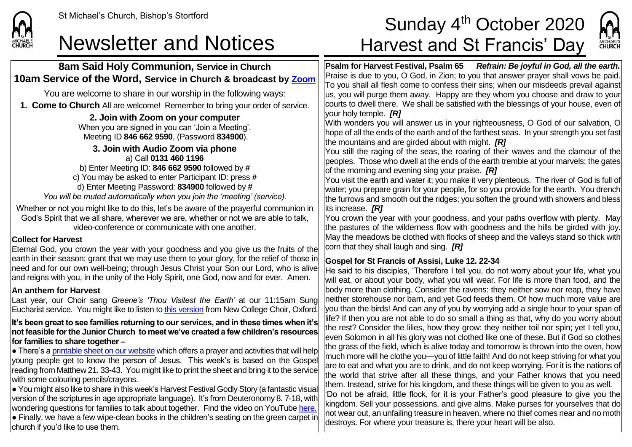

# St Michael's Church, Bishop's Stortford  $\textsf{Sunday}\ 4^{\text{th}}\ \textsf{October}\ 2020$ Newsletter and Notices Harvest and St Francis' Day



**8am Said Holy Communion, Service in Church 10am Service of the Word, Service in Church & broadcast by [Zoom](https://zoom.us/)** You are welcome to share in our worship in the following ways: **1. Come to Church** All are welcome! Remember to bring your order of service. **2. Join with Zoom on your computer** When you are signed in you can 'Join a Meeting'. Meeting ID **846 662 9590**, (Password **834900**). **3. Join with Audio Zoom via phone** a) Call **0131 460 1196** b) Enter Meeting ID: **846 662 9590** followed by **#** c) You may be asked to enter Participant ID: press **#** d) Enter Meeting Password: **834900** followed by **#** *You will be muted automatically when you join the 'meeting' (service).* Whether or not you might like to do this, let's be aware of the prayerful communion in God's Spirit that we all share, wherever we are, whether or not we are able to talk, video-conference or communicate with one another. **Collect for Harvest** Eternal God, you crown the year with your goodness and you give us the fruits of the earth in their season: grant that we may use them to your glory, for the relief of those in need and for our own well-being; through Jesus Christ your Son our Lord, who is alive and reigns with you, in the unity of the Holy Spirit, one God, now and for ever. Amen. **An anthem for Harvest** Last year, our Choir sang *Greene's 'Thou Visitest the Earth'* at our 11:15am Sung Eucharist service. You might like to listen to [this version](https://www.youtube.com/watch?v=-uSMbcGB6t0) from New College Choir, Oxford. **It's been great to see families returning to our services, and in these times when it's not feasible for the Junior Church to meet we've created a few children's resources for families to share together –**  $\bullet$  There's [a printable sheet on our website](https://saintmichaelweb.org.uk/Articles/542815/_Newsletter.aspx) which offers a prayer and activities that will help young people get to know the person of Jesus. This week's is based on the Gospel reading from Matthew 21. 33-43. You might like to print the sheet and bring it to the service with some colouring pencils/crayons. ● You might also like to share in this week's Harvest Festival Godly Story (a fantastic visual version of the scriptures in age appropriate language). It's from Deuteronomy 8. 7-18, with wondering questions for families to talk about together. Find the video on YouTube [here.](https://www.youtube.com/watch?v=3EAczBy7IAg)  $\bullet$  Finally, we have a few wipe-clean books in the children's seating on the green carpet in church if you'd like to use them. **Psalm for Harvest Festival, Psalm 65** *Refrain: Be joyful in God, all the earth.* Praise is due to you, O God, in Zion; to you that answer prayer shall vows be paid. To you shall all flesh come to confess their sins; when our misdeeds prevail against us, you will purge them away. Happy are they whom you choose and draw to your courts to dwell there. We shall be satisfied with the blessings of your house, even of your holy temple. *[R]* With wonders you will answer us in your righteousness, O God of our salvation, O hope of all the ends of the earth and of the farthest seas. In your strength you set fast the mountains and are girded about with might. *[R]* You still the raging of the seas, the roaring of their waves and the clamour of the peoples. Those who dwell at the ends of the earth tremble at your marvels; the gates of the morning and evening sing your praise. *[R]* You visit the earth and water it; you make it very plenteous. The river of God is full of water; you prepare grain for your people, for so you provide for the earth. You drench the furrows and smooth out the ridges; you soften the ground with showers and bless its increase. *[R]* You crown the year with your goodness, and your paths overflow with plenty. May the pastures of the wilderness flow with goodness and the hills be girded with joy. May the meadows be clothed with flocks of sheep and the valleys stand so thick with corn that they shall laugh and sing. *[R]* **Gospel for St Francis of Assisi, Luke 12. 22-34** He said to his disciples, 'Therefore I tell you, do not worry about your life, what you will eat, or about your body, what you will wear. For life is more than food, and the body more than clothing. Consider the ravens: they neither sow nor reap, they have neither storehouse nor barn, and yet God feeds them. Of how much more value are you than the birds! And can any of you by worrying add a single hour to your span of life? If then you are not able to do so small a thing as that, why do you worry about the rest? Consider the lilies, how they grow: they neither toil nor spin; yet I tell you, even Solomon in all his glory was not clothed like one of these. But if God so clothes the grass of the field, which is alive today and tomorrow is thrown into the oven, how much more will he clothe you—you of little faith! And do not keep striving for what you are to eat and what you are to drink, and do not keep worrying. For it is the nations of the world that strive after all these things, and your Father knows that you need them. Instead, strive for his kingdom, and these things will be given to you as well. 'Do not be afraid, little flock, for it is your Father's good pleasure to give you the kingdom. Sell your possessions, and give alms. Make purses for yourselves that do not wear out, an unfailing treasure in heaven, where no thief comes near and no moth destroys. For where your treasure is, there your heart will be also.